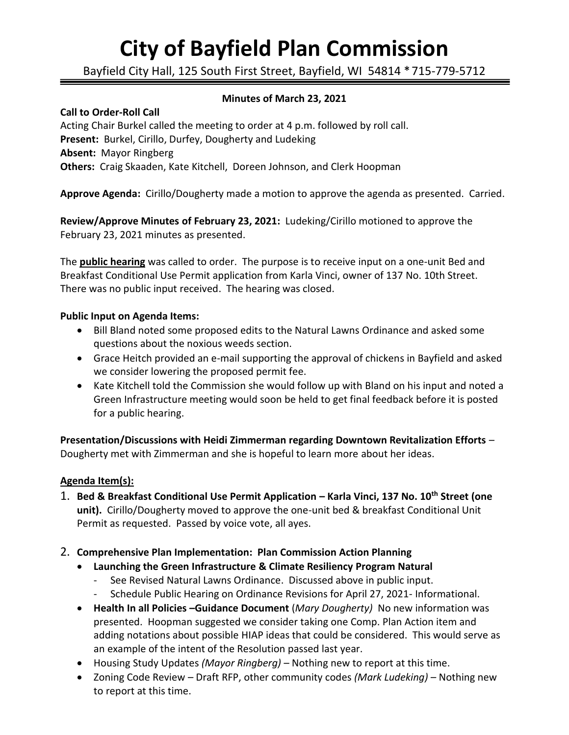# **City of Bayfield Plan Commission**

Bayfield City Hall, 125 South First Street, Bayfield, WI 54814 \*715-779-5712

## **Minutes of March 23, 2021**

**Call to Order-Roll Call** Acting Chair Burkel called the meeting to order at 4 p.m. followed by roll call. **Present:** Burkel, Cirillo, Durfey, Dougherty and Ludeking **Absent:** Mayor Ringberg **Others:** Craig Skaaden, Kate Kitchell, Doreen Johnson, and Clerk Hoopman

**Approve Agenda:** Cirillo/Dougherty made a motion to approve the agenda as presented. Carried.

**Review/Approve Minutes of February 23, 2021:** Ludeking/Cirillo motioned to approve the February 23, 2021 minutes as presented.

The **public hearing** was called to order. The purpose is to receive input on a one-unit Bed and Breakfast Conditional Use Permit application from Karla Vinci, owner of 137 No. 10th Street. There was no public input received. The hearing was closed.

### **Public Input on Agenda Items:**

- Bill Bland noted some proposed edits to the Natural Lawns Ordinance and asked some questions about the noxious weeds section.
- Grace Heitch provided an e-mail supporting the approval of chickens in Bayfield and asked we consider lowering the proposed permit fee.
- Kate Kitchell told the Commission she would follow up with Bland on his input and noted a Green Infrastructure meeting would soon be held to get final feedback before it is posted for a public hearing.

**Presentation/Discussions with Heidi Zimmerman regarding Downtown Revitalization Efforts** – Dougherty met with Zimmerman and she is hopeful to learn more about her ideas.

### **Agenda Item(s):**

- 1. **Bed & Breakfast Conditional Use Permit Application – Karla Vinci, 137 No. 10th Street (one unit).** Cirillo/Dougherty moved to approve the one-unit bed & breakfast Conditional Unit Permit as requested. Passed by voice vote, all ayes.
- 2. **Comprehensive Plan Implementation: Plan Commission Action Planning**
	- **Launching the Green Infrastructure & Climate Resiliency Program Natural** 
		- See Revised Natural Lawns Ordinance. Discussed above in public input.
		- Schedule Public Hearing on Ordinance Revisions for April 27, 2021- Informational.
	- **Health In all Policies –Guidance Document** (*Mary Dougherty)* No new information was presented. Hoopman suggested we consider taking one Comp. Plan Action item and adding notations about possible HIAP ideas that could be considered. This would serve as an example of the intent of the Resolution passed last year.
	- Housing Study Updates *(Mayor Ringberg) –* Nothing new to report at this time.
	- Zoning Code Review Draft RFP, other community codes *(Mark Ludeking) –* Nothing new to report at this time.